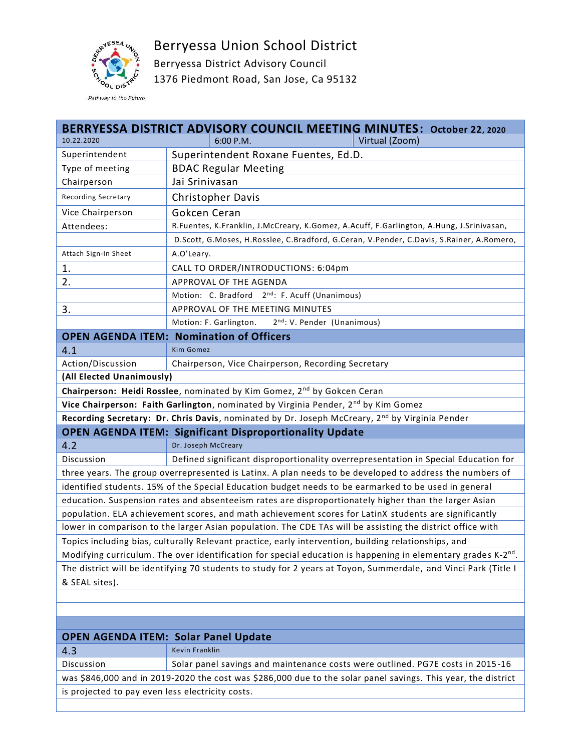Berryessa Union School District



Berryessa District Advisory Council 1376 Piedmont Road, San Jose, Ca 95132

| Virtual (Zoom)<br>10.22.2020<br>6:00 P.M.<br>Superintendent Roxane Fuentes, Ed.D.<br>Superintendent<br>Type of meeting<br><b>BDAC Regular Meeting</b><br>Chairperson<br>Jai Srinivasan<br>Christopher Davis<br>Recording Secretary<br>Gokcen Ceran<br>Vice Chairperson<br>R.Fuentes, K.Franklin, J.McCreary, K.Gomez, A.Acuff, F.Garlington, A.Hung, J.Srinivasan,<br>Attendees:<br>D.Scott, G.Moses, H.Rosslee, C.Bradford, G.Ceran, V.Pender, C.Davis, S.Rainer, A.Romero,<br>A.O'Leary.<br>Attach Sign-In Sheet<br>1.<br>CALL TO ORDER/INTRODUCTIONS: 6:04pm<br>2.<br>APPROVAL OF THE AGENDA<br>Motion: C. Bradford 2 <sup>nd</sup> : F. Acuff (Unanimous)<br>3.<br>APPROVAL OF THE MEETING MINUTES<br>Motion: F. Garlington.<br>2 <sup>nd</sup> : V. Pender (Unanimous)<br><b>OPEN AGENDA ITEM: Nomination of Officers</b><br>4.1<br><b>Kim Gomez</b><br>Action/Discussion<br>Chairperson, Vice Chairperson, Recording Secretary<br>(All Elected Unanimously) | BERRYESSA DISTRICT ADVISORY COUNCIL MEETING MINUTES: October 22, 2020 |  |  |  |  |  |
|-------------------------------------------------------------------------------------------------------------------------------------------------------------------------------------------------------------------------------------------------------------------------------------------------------------------------------------------------------------------------------------------------------------------------------------------------------------------------------------------------------------------------------------------------------------------------------------------------------------------------------------------------------------------------------------------------------------------------------------------------------------------------------------------------------------------------------------------------------------------------------------------------------------------------------------------------------------------|-----------------------------------------------------------------------|--|--|--|--|--|
|                                                                                                                                                                                                                                                                                                                                                                                                                                                                                                                                                                                                                                                                                                                                                                                                                                                                                                                                                                   |                                                                       |  |  |  |  |  |
|                                                                                                                                                                                                                                                                                                                                                                                                                                                                                                                                                                                                                                                                                                                                                                                                                                                                                                                                                                   |                                                                       |  |  |  |  |  |
|                                                                                                                                                                                                                                                                                                                                                                                                                                                                                                                                                                                                                                                                                                                                                                                                                                                                                                                                                                   |                                                                       |  |  |  |  |  |
|                                                                                                                                                                                                                                                                                                                                                                                                                                                                                                                                                                                                                                                                                                                                                                                                                                                                                                                                                                   |                                                                       |  |  |  |  |  |
|                                                                                                                                                                                                                                                                                                                                                                                                                                                                                                                                                                                                                                                                                                                                                                                                                                                                                                                                                                   |                                                                       |  |  |  |  |  |
|                                                                                                                                                                                                                                                                                                                                                                                                                                                                                                                                                                                                                                                                                                                                                                                                                                                                                                                                                                   |                                                                       |  |  |  |  |  |
|                                                                                                                                                                                                                                                                                                                                                                                                                                                                                                                                                                                                                                                                                                                                                                                                                                                                                                                                                                   |                                                                       |  |  |  |  |  |
|                                                                                                                                                                                                                                                                                                                                                                                                                                                                                                                                                                                                                                                                                                                                                                                                                                                                                                                                                                   |                                                                       |  |  |  |  |  |
|                                                                                                                                                                                                                                                                                                                                                                                                                                                                                                                                                                                                                                                                                                                                                                                                                                                                                                                                                                   |                                                                       |  |  |  |  |  |
|                                                                                                                                                                                                                                                                                                                                                                                                                                                                                                                                                                                                                                                                                                                                                                                                                                                                                                                                                                   |                                                                       |  |  |  |  |  |
|                                                                                                                                                                                                                                                                                                                                                                                                                                                                                                                                                                                                                                                                                                                                                                                                                                                                                                                                                                   |                                                                       |  |  |  |  |  |
|                                                                                                                                                                                                                                                                                                                                                                                                                                                                                                                                                                                                                                                                                                                                                                                                                                                                                                                                                                   |                                                                       |  |  |  |  |  |
|                                                                                                                                                                                                                                                                                                                                                                                                                                                                                                                                                                                                                                                                                                                                                                                                                                                                                                                                                                   |                                                                       |  |  |  |  |  |
|                                                                                                                                                                                                                                                                                                                                                                                                                                                                                                                                                                                                                                                                                                                                                                                                                                                                                                                                                                   |                                                                       |  |  |  |  |  |
|                                                                                                                                                                                                                                                                                                                                                                                                                                                                                                                                                                                                                                                                                                                                                                                                                                                                                                                                                                   |                                                                       |  |  |  |  |  |
|                                                                                                                                                                                                                                                                                                                                                                                                                                                                                                                                                                                                                                                                                                                                                                                                                                                                                                                                                                   |                                                                       |  |  |  |  |  |
|                                                                                                                                                                                                                                                                                                                                                                                                                                                                                                                                                                                                                                                                                                                                                                                                                                                                                                                                                                   |                                                                       |  |  |  |  |  |
|                                                                                                                                                                                                                                                                                                                                                                                                                                                                                                                                                                                                                                                                                                                                                                                                                                                                                                                                                                   |                                                                       |  |  |  |  |  |
| Chairperson: Heidi Rosslee, nominated by Kim Gomez, 2 <sup>nd</sup> by Gokcen Ceran                                                                                                                                                                                                                                                                                                                                                                                                                                                                                                                                                                                                                                                                                                                                                                                                                                                                               |                                                                       |  |  |  |  |  |
| Vice Chairperson: Faith Garlington, nominated by Virginia Pender, 2 <sup>nd</sup> by Kim Gomez                                                                                                                                                                                                                                                                                                                                                                                                                                                                                                                                                                                                                                                                                                                                                                                                                                                                    |                                                                       |  |  |  |  |  |
| Recording Secretary: Dr. Chris Davis, nominated by Dr. Joseph McCreary, 2nd by Virginia Pender                                                                                                                                                                                                                                                                                                                                                                                                                                                                                                                                                                                                                                                                                                                                                                                                                                                                    |                                                                       |  |  |  |  |  |
| <b>OPEN AGENDA ITEM: Significant Disproportionality Update</b>                                                                                                                                                                                                                                                                                                                                                                                                                                                                                                                                                                                                                                                                                                                                                                                                                                                                                                    |                                                                       |  |  |  |  |  |
| 4.2<br>Dr. Joseph McCreary                                                                                                                                                                                                                                                                                                                                                                                                                                                                                                                                                                                                                                                                                                                                                                                                                                                                                                                                        |                                                                       |  |  |  |  |  |
| Discussion<br>Defined significant disproportionality overrepresentation in Special Education for                                                                                                                                                                                                                                                                                                                                                                                                                                                                                                                                                                                                                                                                                                                                                                                                                                                                  |                                                                       |  |  |  |  |  |
| three years. The group overrepresented is Latinx. A plan needs to be developed to address the numbers of                                                                                                                                                                                                                                                                                                                                                                                                                                                                                                                                                                                                                                                                                                                                                                                                                                                          |                                                                       |  |  |  |  |  |
| identified students. 15% of the Special Education budget needs to be earmarked to be used in general                                                                                                                                                                                                                                                                                                                                                                                                                                                                                                                                                                                                                                                                                                                                                                                                                                                              |                                                                       |  |  |  |  |  |
| education. Suspension rates and absenteeism rates are disproportionately higher than the larger Asian                                                                                                                                                                                                                                                                                                                                                                                                                                                                                                                                                                                                                                                                                                                                                                                                                                                             |                                                                       |  |  |  |  |  |
| population. ELA achievement scores, and math achievement scores for LatinX students are significantly                                                                                                                                                                                                                                                                                                                                                                                                                                                                                                                                                                                                                                                                                                                                                                                                                                                             |                                                                       |  |  |  |  |  |
| lower in comparison to the larger Asian population. The CDE TAs will be assisting the district office with                                                                                                                                                                                                                                                                                                                                                                                                                                                                                                                                                                                                                                                                                                                                                                                                                                                        |                                                                       |  |  |  |  |  |
| Topics including bias, culturally Relevant practice, early intervention, building relationships, and                                                                                                                                                                                                                                                                                                                                                                                                                                                                                                                                                                                                                                                                                                                                                                                                                                                              |                                                                       |  |  |  |  |  |
| Modifying curriculum. The over identification for special education is happening in elementary grades K-2 <sup>nd</sup> .                                                                                                                                                                                                                                                                                                                                                                                                                                                                                                                                                                                                                                                                                                                                                                                                                                         |                                                                       |  |  |  |  |  |
| The district will be identifying 70 students to study for 2 years at Toyon, Summerdale, and Vinci Park (Title I                                                                                                                                                                                                                                                                                                                                                                                                                                                                                                                                                                                                                                                                                                                                                                                                                                                   |                                                                       |  |  |  |  |  |
| & SEAL sites).                                                                                                                                                                                                                                                                                                                                                                                                                                                                                                                                                                                                                                                                                                                                                                                                                                                                                                                                                    |                                                                       |  |  |  |  |  |

| <b>OPEN AGENDA ITEM: Solar Panel Update</b>                                                                   |                                                                                |  |  |  |
|---------------------------------------------------------------------------------------------------------------|--------------------------------------------------------------------------------|--|--|--|
| 4.3                                                                                                           | Kevin Franklin                                                                 |  |  |  |
| Discussion                                                                                                    | Solar panel savings and maintenance costs were outlined. PG7E costs in 2015-16 |  |  |  |
| was \$846,000 and in 2019-2020 the cost was \$286,000 due to the solar panel savings. This year, the district |                                                                                |  |  |  |
| is projected to pay even less electricity costs.                                                              |                                                                                |  |  |  |
|                                                                                                               |                                                                                |  |  |  |